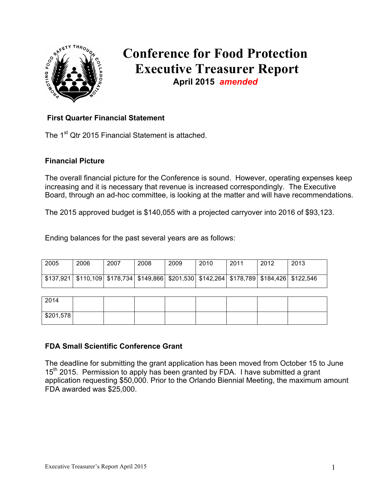

# **Conference for Food Protection Executive Treasurer Report April 2015** *amended*

### **First Quarter Financial Statement**

The 1<sup>st</sup> Qtr 2015 Financial Statement is attached.

#### **Financial Picture**

The overall financial picture for the Conference is sound. However, operating expenses keep increasing and it is necessary that revenue is increased correspondingly. The Executive Board, through an ad-hoc committee, is looking at the matter and will have recommendations.

The 2015 approved budget is \$140,055 with a projected carryover into 2016 of \$93,123.

Ending balances for the past several years are as follows:

| 2005 | 2006 | 2007                                                                                                      | 2008 | 2009 | 2010 | 2011 | 2012 | 2013 |
|------|------|-----------------------------------------------------------------------------------------------------------|------|------|------|------|------|------|
|      |      | \$137,921   \$110,109   \$178,734   \$149,866   \$201,530   \$142,264   \$178,789   \$184,426   \$122,546 |      |      |      |      |      |      |
|      |      |                                                                                                           |      |      |      |      |      |      |

| 2014      |  |  |  |  |
|-----------|--|--|--|--|
| \$201,578 |  |  |  |  |

#### **FDA Small Scientific Conference Grant**

The deadline for submitting the grant application has been moved from October 15 to June  $15<sup>th</sup>$  2015. Permission to apply has been granted by FDA. I have submitted a grant application requesting \$50,000. Prior to the Orlando Biennial Meeting, the maximum amount FDA awarded was \$25,000.